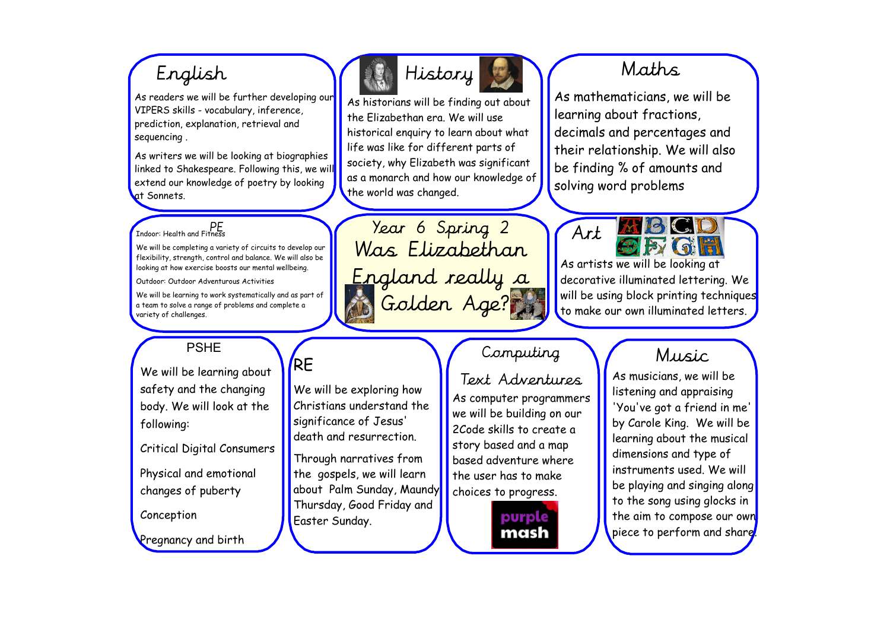As readers we will be further developing our VIPERS skills - vocabulary, inference, prediction, explanation, retrieval and sequencing .

As writers we will be looking at biographies linked to Shakespeare. Following this, we will extend our knowledge of poetry by looking at Sonnets.

## $\overline{P}$ PE<br>Indoor: Health and Fitness

We will be completing a variety of circuits to develop our flexibility, strength, control and balance. We will also be looking at how exercise boosts our mental wellbeing.

Outdoor: Outdoor Adventurous Activities

We will be learning to work systematically and as part of a team to solve a range of problems and complete a variety of challenges.

RE

We will be exploring how Christians understand the significance of Jesus' death and resurrection.

Through narratives from the gospels, we will learn about Palm Sunday, Maundy Thursday, Good Friday and

Easter Sunday.

### PSHE

We will be learning about safety and the changing body. We will look at the following:

Critical Digital Consumers

Physical and emotional changes of puberty

Conception

Pregnancy and birth





As historians will be finding out about the Elizabethan era. We will use historical enquiry to learn about what life was like for different parts of society, why Elizabeth was significant as a monarch and how our knowledge of the world was changed.

Year 6 Spring 2 Was Elizabethan England really a Golden Age?

# $Computing$   $\bigvee$  Music

Text Adventures As computer programmers we will be building on our 2Code skills to create a story based and a map based adventure where the user has to make choices to progress.

> purple mash

As mathematicians, we will be learning about fractions, decimals and percentages and their relationship. We will also be finding % of amounts and solving word problems



As artists we will be looking at decorative illuminated lettering. We will be using block printing techniques to make our own illuminated letters.

As musicians, we will be listening and appraising 'You've got a friend in me' by Carole King. We will be learning about the musical dimensions and type of instruments used. We will be playing and singing along to the song using glocks in the aim to compose our own piece to perform and share.